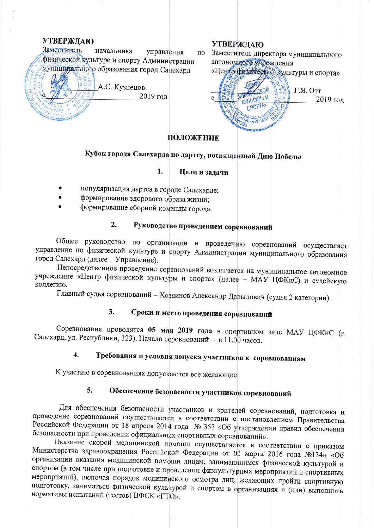## **УТВЕРЖДАЮ**

Заместитель начальника управления ПО физической культуре и спорту Администрации муницииального образования город Салехард

А.С. Кузнецов 2019 год

## **УТВЕРЖДАЮ**

Заместитель директора муниципального автономиоголунреждения

«Центр физической культуры и спорта»



# ПОЛОЖЕНИЕ

# Кубок города Салехарда по дартсу, посвященный Дню Победы

## Цели и задачи

популяризация дартса в городе Салехарде;

1.

- формирование здорового образа жизни;
- формирование сборной команды города.

#### $2.$ Руководство проведением соревнований

Общее руководство по организации и проведению соревнований осуществляет управление по физической культуре и спорту Администрации муниципального образования город Салехард (далее - Управление).

Непосредственное проведение соревнований возлагается на муниципальное автономное учреждение «Центр физической культуры и спорта» (далее - МАУ ЦФКиС) и судейскую коллегию.

Главный судья соревнований - Хозяинов Александр Давыдович (судья 2 категории).

#### Сроки и место проведения соревнований  $3.$

Соревнования проводятся 05 мая 2019 года в спортивном зале МАУ ЦФКиС (г. Салехард, ул. Республики, 123). Начало соревнований - в 11.00 часов.

### Требования и условия допуска участников к соревнованиям  $\overline{4}$ .

К участию в соревнованиях допускаются все желающие.

## Обеспечение безопасности участников соревнований 5.

Для обеспечения безопасности участников и зрителей соревнований, подготовка и проведение соревнований осуществляется в соответствии с постановлением Правительства Российской Федерации от 18 апреля 2014 года № 353 «Об утверждении правил обеспечения безопасности при проведении официальных спортивных соревнований».

Оказание скорой медицинской помощи осуществляется в соответствии с приказом Министерства здравоохранения Российской Федерации от 01 марта 2016 года №134н «Об организации оказания медицинской помощи лицам, занимающимся физической культурой и спортом (в том числе при подготовке и проведении физкультурных мероприятий и спортивных мероприятий), включая порядок медицинского осмотра лиц, желающих пройти спортивную подготовку, заниматься физической культурой и спортом в организациях и (или) выполнить нормативы испытаний (тестов) ВФСК «ГТО».